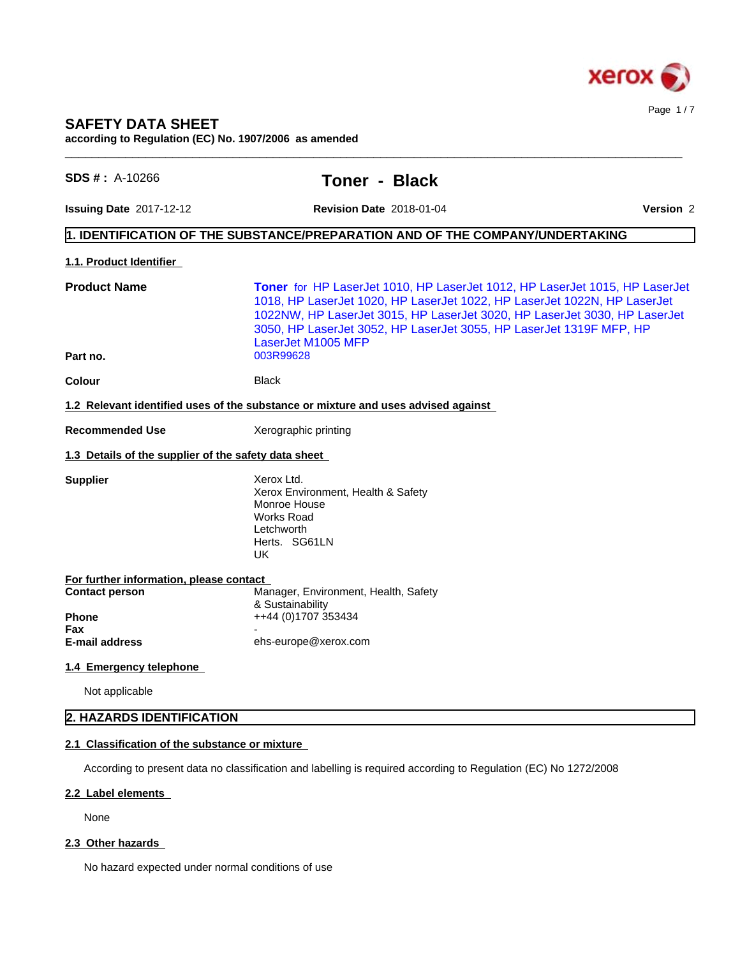

## **SAFETY DATA SHEET**

**according to Regulation (EC) No. 1907/2006 as amended**

| $SDS # : A-10266$                                                                       | <b>Toner - Black</b>                                                                                                                                                                                                                                                                                                              |           |
|-----------------------------------------------------------------------------------------|-----------------------------------------------------------------------------------------------------------------------------------------------------------------------------------------------------------------------------------------------------------------------------------------------------------------------------------|-----------|
| <b>Issuing Date 2017-12-12</b>                                                          | <b>Revision Date 2018-01-04</b>                                                                                                                                                                                                                                                                                                   | Version 2 |
|                                                                                         | $\vert$ 1. IDENTIFICATION OF THE SUBSTANCE/PREPARATION AND OF THE COMPANY/UNDERTAKING                                                                                                                                                                                                                                             |           |
| 1.1. Product Identifier                                                                 |                                                                                                                                                                                                                                                                                                                                   |           |
| <b>Product Name</b>                                                                     | Toner for HP LaserJet 1010, HP LaserJet 1012, HP LaserJet 1015, HP LaserJet<br>1018, HP LaserJet 1020, HP LaserJet 1022, HP LaserJet 1022N, HP LaserJet<br>1022NW, HP LaserJet 3015, HP LaserJet 3020, HP LaserJet 3030, HP LaserJet<br>3050, HP LaserJet 3052, HP LaserJet 3055, HP LaserJet 1319F MFP, HP<br>LaserJet M1005 MFP |           |
| Part no.                                                                                | 003R99628                                                                                                                                                                                                                                                                                                                         |           |
| Colour                                                                                  | <b>Black</b>                                                                                                                                                                                                                                                                                                                      |           |
|                                                                                         | 1.2 Relevant identified uses of the substance or mixture and uses advised against                                                                                                                                                                                                                                                 |           |
| <b>Recommended Use</b>                                                                  | Xerographic printing                                                                                                                                                                                                                                                                                                              |           |
| 1.3 Details of the supplier of the safety data sheet                                    |                                                                                                                                                                                                                                                                                                                                   |           |
| <b>Supplier</b>                                                                         | Xerox Ltd.<br>Xerox Environment, Health & Safety<br>Monroe House<br>Works Road<br>Letchworth<br>Herts. SG61LN<br>UK                                                                                                                                                                                                               |           |
| For further information, please contact<br><b>Contact person</b><br><b>Phone</b><br>Fax | Manager, Environment, Health, Safety<br>& Sustainability<br>++44 (0)1707 353434                                                                                                                                                                                                                                                   |           |
| <b>E-mail address</b>                                                                   | ehs-europe@xerox.com                                                                                                                                                                                                                                                                                                              |           |
| 1.4 Emergency telephone                                                                 |                                                                                                                                                                                                                                                                                                                                   |           |
| Not applicable                                                                          |                                                                                                                                                                                                                                                                                                                                   |           |
| 2. HAZARDS IDENTIFICATION                                                               |                                                                                                                                                                                                                                                                                                                                   |           |

#### **2.2 Label elements**

None

## 2.3 Other hazards

No hazard expected under normal conditions of use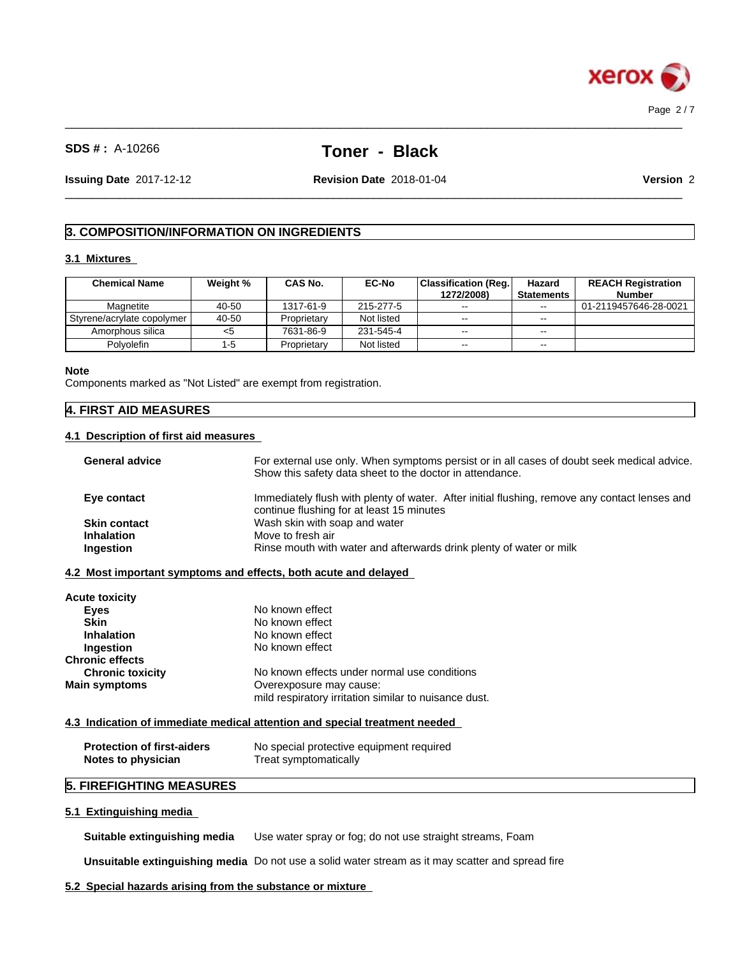

 $\_$  ,  $\_$  ,  $\_$  ,  $\_$  ,  $\_$  ,  $\_$  ,  $\_$  ,  $\_$  ,  $\_$  ,  $\_$  ,  $\_$  ,  $\_$  ,  $\_$  ,  $\_$  ,  $\_$  ,  $\_$  ,  $\_$  ,  $\_$  ,  $\_$  ,  $\_$  ,  $\_$  ,  $\_$  ,  $\_$  ,  $\_$  ,  $\_$  ,  $\_$  ,  $\_$  ,  $\_$  ,  $\_$  ,  $\_$  ,  $\_$  ,  $\_$  ,  $\_$  ,  $\_$  ,  $\_$  ,  $\_$  ,  $\_$  ,

**Issuing Date** 2017-12-12 **Revision Date** 2018-01-04 **Version** 2

 $\_$  ,  $\_$  ,  $\_$  ,  $\_$  ,  $\_$  ,  $\_$  ,  $\_$  ,  $\_$  ,  $\_$  ,  $\_$  ,  $\_$  ,  $\_$  ,  $\_$  ,  $\_$  ,  $\_$  ,  $\_$  ,  $\_$  ,  $\_$  ,  $\_$  ,  $\_$  ,  $\_$  ,  $\_$  ,  $\_$  ,  $\_$  ,  $\_$  ,  $\_$  ,  $\_$  ,  $\_$  ,  $\_$  ,  $\_$  ,  $\_$  ,  $\_$  ,  $\_$  ,  $\_$  ,  $\_$  ,  $\_$  ,  $\_$  ,

## **3. COMPOSITION/INFORMATION ON INGREDIENTS**

## **3.1 Mixtures**

| <b>Chemical Name</b>         | Weight % | <b>CAS No.</b> | <b>EC-No</b> | <b>Classification (Reg.</b> | Hazard            | <b>REACH Registration</b> |
|------------------------------|----------|----------------|--------------|-----------------------------|-------------------|---------------------------|
|                              |          |                |              | 1272/2008)                  | <b>Statements</b> | <b>Number</b>             |
| Magnetite                    | 40-50    | 1317-61-9      | 215-277-5    | $- -$                       | $- -$             | 01-2119457646-28-0021     |
| Styrene/acrylate copolymer I | 40-50    | Proprietary    | Not listed   | $- -$                       | $- -$             |                           |
| Amorphous silica             | <5       | 7631-86-9      | 231-545-4    | $- -$                       | $- -$             |                           |
| Polvolefin                   | ' -5     | Proprietary    | Not listed   | $\sim$ $\sim$               | $- -$             |                           |

#### **Note**

Components marked as "Not Listed" are exempt from registration.

## **4. FIRST AID MEASURES**

## **4.1 Description of first aid measures**

| <b>General advice</b> | For external use only. When symptoms persist or in all cases of doubt seek medical advice.<br>Show this safety data sheet to the doctor in attendance. |
|-----------------------|--------------------------------------------------------------------------------------------------------------------------------------------------------|
| Eye contact           | Immediately flush with plenty of water. After initial flushing, remove any contact lenses and<br>continue flushing for at least 15 minutes             |
| <b>Skin contact</b>   | Wash skin with soap and water                                                                                                                          |
| <b>Inhalation</b>     | Move to fresh air                                                                                                                                      |
| <b>Ingestion</b>      | Rinse mouth with water and afterwards drink plenty of water or milk                                                                                    |
|                       |                                                                                                                                                        |

## **4.2 Most important symptoms and effects, both acute and delayed**

| <b>Acute toxicity</b>   |                                                       |
|-------------------------|-------------------------------------------------------|
| Eyes                    | No known effect                                       |
| <b>Skin</b>             | No known effect                                       |
| <b>Inhalation</b>       | No known effect                                       |
| Ingestion               | No known effect                                       |
| <b>Chronic effects</b>  |                                                       |
| <b>Chronic toxicity</b> | No known effects under normal use conditions          |
| <b>Main symptoms</b>    | Overexposure may cause:                               |
|                         | mild respiratory irritation similar to nuisance dust. |

#### **4.3 Indication of immediate medical attention and special treatment needed**

| <b>Protection of first-aiders</b> | No special protective equipment required |
|-----------------------------------|------------------------------------------|
| Notes to physician                | Treat symptomatically                    |

## **5. FIREFIGHTING MEASURES**

## **5.1 Extinguishing media**

**Suitable extinguishing media** Use water spray or fog; do not use straight streams, Foam

**Unsuitable extinguishing media** Do not use a solid water stream as it may scatterand spread fire

## **5.2 Special hazards arising from the substance or mixture**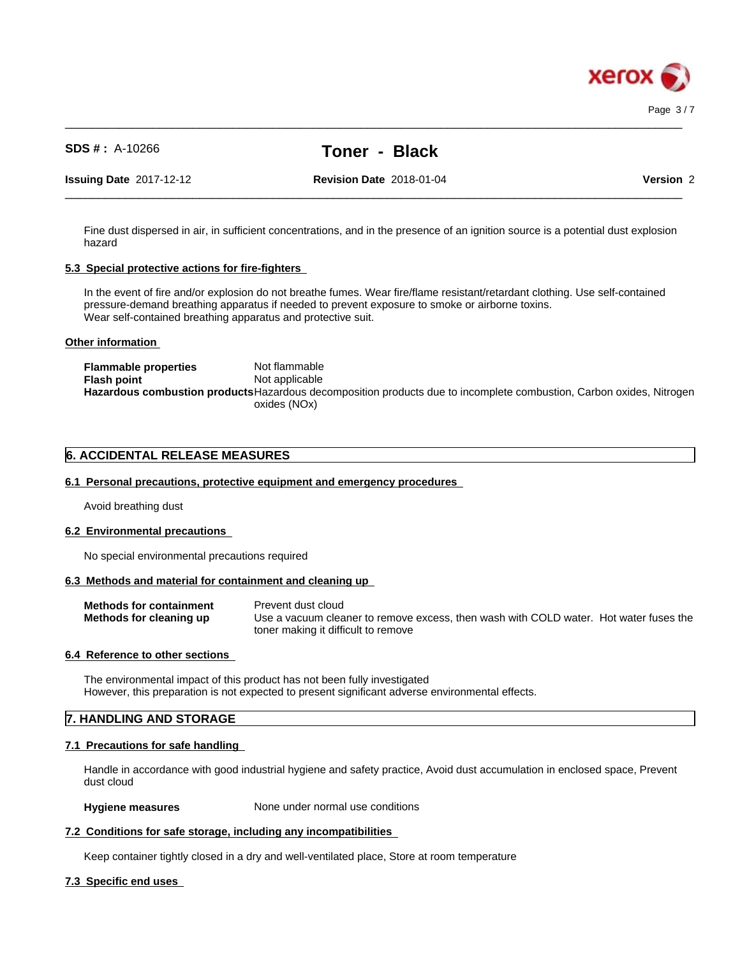

 $\_$  ,  $\_$  ,  $\_$  ,  $\_$  ,  $\_$  ,  $\_$  ,  $\_$  ,  $\_$  ,  $\_$  ,  $\_$  ,  $\_$  ,  $\_$  ,  $\_$  ,  $\_$  ,  $\_$  ,  $\_$  ,  $\_$  ,  $\_$  ,  $\_$  ,  $\_$  ,  $\_$  ,  $\_$  ,  $\_$  ,  $\_$  ,  $\_$  ,  $\_$  ,  $\_$  ,  $\_$  ,  $\_$  ,  $\_$  ,  $\_$  ,  $\_$  ,  $\_$  ,  $\_$  ,  $\_$  ,  $\_$  ,  $\_$  ,

**Issuing Date** 2017-12-12 **Revision Date** 2018-01-04 **Version** 2

 $\_$  ,  $\_$  ,  $\_$  ,  $\_$  ,  $\_$  ,  $\_$  ,  $\_$  ,  $\_$  ,  $\_$  ,  $\_$  ,  $\_$  ,  $\_$  ,  $\_$  ,  $\_$  ,  $\_$  ,  $\_$  ,  $\_$  ,  $\_$  ,  $\_$  ,  $\_$  ,  $\_$  ,  $\_$  ,  $\_$  ,  $\_$  ,  $\_$  ,  $\_$  ,  $\_$  ,  $\_$  ,  $\_$  ,  $\_$  ,  $\_$  ,  $\_$  ,  $\_$  ,  $\_$  ,  $\_$  ,  $\_$  ,  $\_$  ,

Fine dust dispersed in air, in sufficient concentrations, and in the presence of an ignition source is a potential dust explosion hazard

## **5.3 Special protective actions for fire-fighters**

In the event of fire and/or explosion do not breathe fumes. Wear fire/flame resistant/retardant clothing. Use self-contained pressure-demand breathing apparatus if needed to prevent exposure to smoke or airborne toxins. Wear self-contained breathing apparatus and protective suit.

## **Other information**

**Flammable properties** Not flammable **Flash point** Not applicable **Hazardous combustion products**Hazardous decomposition products due to incomplete combustion, Carbon oxides, Nitrogen oxides (NOx)

## **6. ACCIDENTAL RELEASE MEASURES**

## **6.1 Personal precautions, protective equipment and emergency procedures**

Avoid breathing dust

## **6.2 Environmental precautions**

No special environmental precautions required

## **6.3 Methods and material for containment and cleaning up**

| <b>Methods for containment</b> | Prevent dust cloud                                                                    |
|--------------------------------|---------------------------------------------------------------------------------------|
| Methods for cleaning up        | Use a vacuum cleaner to remove excess, then wash with COLD water. Hot water fuses the |
|                                | toner making it difficult to remove                                                   |

## **6.4 Reference to other sections**

The environmental impact of this product has not been fully investigated However, this preparation is not expected to present significant adverse environmental effects.

## **7. HANDLING AND STORAGE**

## **7.1 Precautions for safe handling**

Handle in accordance with good industrial hygiene and safety practice, Avoid dust accumulation in enclosed space, Prevent dust cloud

#### **Hygiene measures** None under normal use conditions

## **7.2 Conditions for safe storage, including any incompatibilities**

Keep container tightly closed in a dry and well-ventilated place, Store at room temperature

## **7.3 Specific end uses**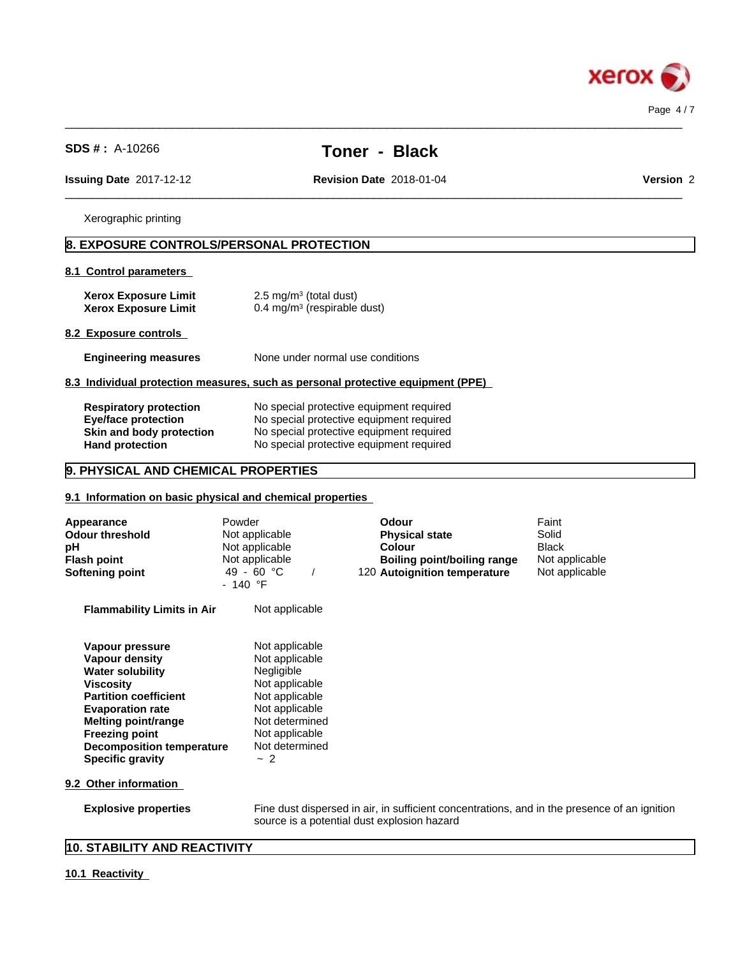

 $\_$  ,  $\_$  ,  $\_$  ,  $\_$  ,  $\_$  ,  $\_$  ,  $\_$  ,  $\_$  ,  $\_$  ,  $\_$  ,  $\_$  ,  $\_$  ,  $\_$  ,  $\_$  ,  $\_$  ,  $\_$  ,  $\_$  ,  $\_$  ,  $\_$  ,  $\_$  ,  $\_$  ,  $\_$  ,  $\_$  ,  $\_$  ,  $\_$  ,  $\_$  ,  $\_$  ,  $\_$  ,  $\_$  ,  $\_$  ,  $\_$  ,  $\_$  ,  $\_$  ,  $\_$  ,  $\_$  ,  $\_$  ,  $\_$  ,

 $\_$  ,  $\_$  ,  $\_$  ,  $\_$  ,  $\_$  ,  $\_$  ,  $\_$  ,  $\_$  ,  $\_$  ,  $\_$  ,  $\_$  ,  $\_$  ,  $\_$  ,  $\_$  ,  $\_$  ,  $\_$  ,  $\_$  ,  $\_$  ,  $\_$  ,  $\_$  ,  $\_$  ,  $\_$  ,  $\_$  ,  $\_$  ,  $\_$  ,  $\_$  ,  $\_$  ,  $\_$  ,  $\_$  ,  $\_$  ,  $\_$  ,  $\_$  ,  $\_$  ,  $\_$  ,  $\_$  ,  $\_$  ,  $\_$  ,

**Issuing Date** 2017-12-12 **Revision Date** 2018-01-04 **Version** 2

Xerographic printing

## **8. EXPOSURE CONTROLS/PERSONAL PROTECTION**

#### **8.1 Control parameters**

| <b>Xerox Exposure Limit</b> | $2.5 \text{ mg/m}^3$ (total dust)      |
|-----------------------------|----------------------------------------|
| <b>Xerox Exposure Limit</b> | $0.4 \text{ mg/m}^3$ (respirable dust) |

## **8.2 Exposure controls**

**Engineering measures** None under normal use conditions

#### **8.3 Individual protection measures, such as personal protective equipment (PPE)**

| <b>Respiratory protection</b> | No special protective equipment required |
|-------------------------------|------------------------------------------|
| Eye/face protection           | No special protective equipment required |
| Skin and body protection      | No special protective equipment required |
| <b>Hand protection</b>        | No special protective equipment required |

## **9. PHYSICAL AND CHEMICAL PROPERTIES**

## **9.1 Information on basic physical and chemical properties**

| Appearance<br><b>Odour threshold</b><br>рH<br><b>Flash point</b><br>Softening point                                                                                                                                                                        | Powder<br>Not applicable<br>Not applicable<br>Not applicable<br>49 - 60 °C<br>- 140 °F                                                                           | Odour<br><b>Physical state</b><br>Colour<br><b>Boiling point/boiling range</b><br>120 Autoignition temperature                              | Faint<br>Solid<br><b>Black</b><br>Not applicable<br>Not applicable |
|------------------------------------------------------------------------------------------------------------------------------------------------------------------------------------------------------------------------------------------------------------|------------------------------------------------------------------------------------------------------------------------------------------------------------------|---------------------------------------------------------------------------------------------------------------------------------------------|--------------------------------------------------------------------|
| <b>Flammability Limits in Air</b>                                                                                                                                                                                                                          | Not applicable                                                                                                                                                   |                                                                                                                                             |                                                                    |
| Vapour pressure<br>Vapour density<br><b>Water solubility</b><br>Viscosity<br><b>Partition coefficient</b><br><b>Evaporation rate</b><br><b>Melting point/range</b><br><b>Freezing point</b><br><b>Decomposition temperature</b><br><b>Specific gravity</b> | Not applicable<br>Not applicable<br>Negligible<br>Not applicable<br>Not applicable<br>Not applicable<br>Not determined<br>Not applicable<br>Not determined<br>~2 |                                                                                                                                             |                                                                    |
| 9.2 Other information                                                                                                                                                                                                                                      |                                                                                                                                                                  |                                                                                                                                             |                                                                    |
| <b>Explosive properties</b>                                                                                                                                                                                                                                |                                                                                                                                                                  | Fine dust dispersed in air, in sufficient concentrations, and in the presence of an ignition<br>source is a potential dust explosion hazard |                                                                    |
| $\overline{A}$                                                                                                                                                                                                                                             |                                                                                                                                                                  |                                                                                                                                             |                                                                    |

## **10. STABILITY AND REACTIVITY**

## **10.1 Reactivity**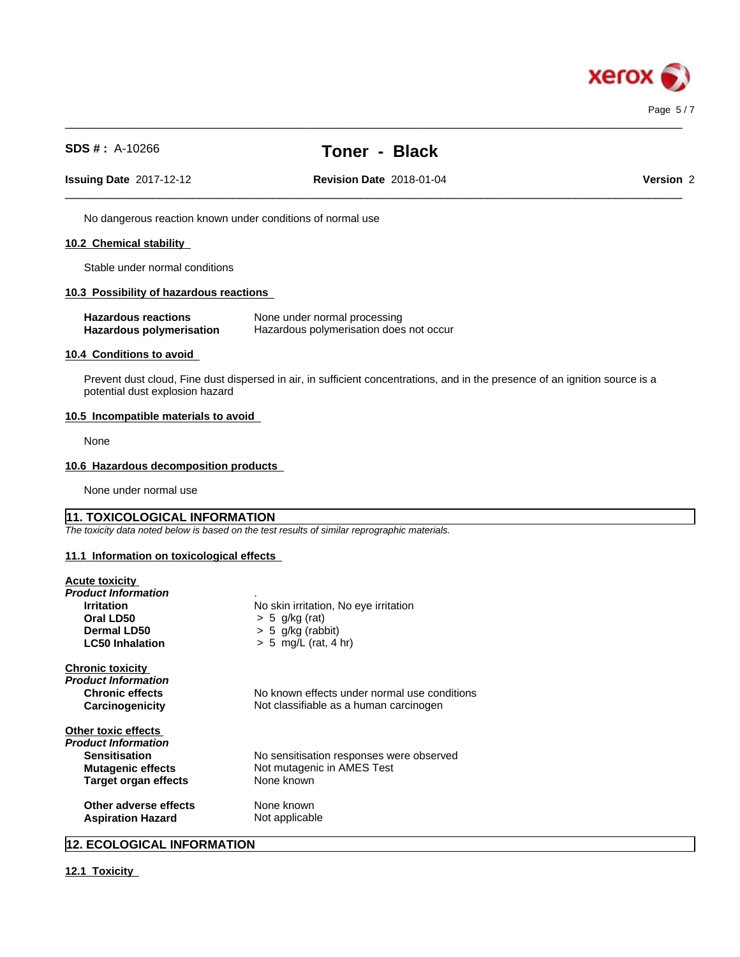

 $\_$  ,  $\_$  ,  $\_$  ,  $\_$  ,  $\_$  ,  $\_$  ,  $\_$  ,  $\_$  ,  $\_$  ,  $\_$  ,  $\_$  ,  $\_$  ,  $\_$  ,  $\_$  ,  $\_$  ,  $\_$  ,  $\_$  ,  $\_$  ,  $\_$  ,  $\_$  ,  $\_$  ,  $\_$  ,  $\_$  ,  $\_$  ,  $\_$  ,  $\_$  ,  $\_$  ,  $\_$  ,  $\_$  ,  $\_$  ,  $\_$  ,  $\_$  ,  $\_$  ,  $\_$  ,  $\_$  ,  $\_$  ,  $\_$  ,

 $\_$  ,  $\_$  ,  $\_$  ,  $\_$  ,  $\_$  ,  $\_$  ,  $\_$  ,  $\_$  ,  $\_$  ,  $\_$  ,  $\_$  ,  $\_$  ,  $\_$  ,  $\_$  ,  $\_$  ,  $\_$  ,  $\_$  ,  $\_$  ,  $\_$  ,  $\_$  ,  $\_$  ,  $\_$  ,  $\_$  ,  $\_$  ,  $\_$  ,  $\_$  ,  $\_$  ,  $\_$  ,  $\_$  ,  $\_$  ,  $\_$  ,  $\_$  ,  $\_$  ,  $\_$  ,  $\_$  ,  $\_$  ,  $\_$  ,

**Issuing Date** 2017-12-12 **Revision Date** 2018-01-04 **Version** 2

No dangerous reaction known under conditions of normal use

## **10.2 Chemical stability**

Stable under normal conditions

#### **10.3 Possibility of hazardous reactions**

| <b>Hazardous reactions</b> | None under normal processing            |
|----------------------------|-----------------------------------------|
| Hazardous polymerisation   | Hazardous polymerisation does not occur |

#### **10.4 Conditions to avoid**

Prevent dust cloud, Fine dust dispersed in air, in sufficient concentrations, and in the presence of an ignition source is a potential dust explosion hazard

#### **10.5 Incompatible materials to avoid**

None

## **10.6 Hazardous decomposition products**

None under normal use

## **11. TOXICOLOGICAL INFORMATION**

*The toxicity data noted below is based on the test results of similar reprographic materials.*

#### **11.1 Information on toxicologicaleffects**

| <b>Acute toxicity</b> |  |
|-----------------------|--|
|                       |  |

| Product Information         |                                              |
|-----------------------------|----------------------------------------------|
| <b>Irritation</b>           | No skin irritation, No eye irritation        |
| Oral LD50                   | $> 5$ g/kg (rat)                             |
| Dermal LD50                 | $> 5$ g/kg (rabbit)                          |
| <b>LC50 Inhalation</b>      | $> 5$ mg/L (rat, 4 hr)                       |
| <b>Chronic toxicity</b>     |                                              |
| Product Information         |                                              |
| <b>Chronic effects</b>      | No known effects under normal use conditions |
| Carcinogenicity             | Not classifiable as a human carcinogen       |
| Other toxic effects         |                                              |
| Product Information         |                                              |
| <b>Sensitisation</b>        | No sensitisation responses were observed     |
| <b>Mutagenic effects</b>    | Not mutagenic in AMES Test                   |
| <b>Target organ effects</b> | None known                                   |
| Other adverse effects       | None known                                   |
| <b>Aspiration Hazard</b>    | Not applicable                               |

## **12. ECOLOGICAL INFORMATION**

**12.1 Toxicity**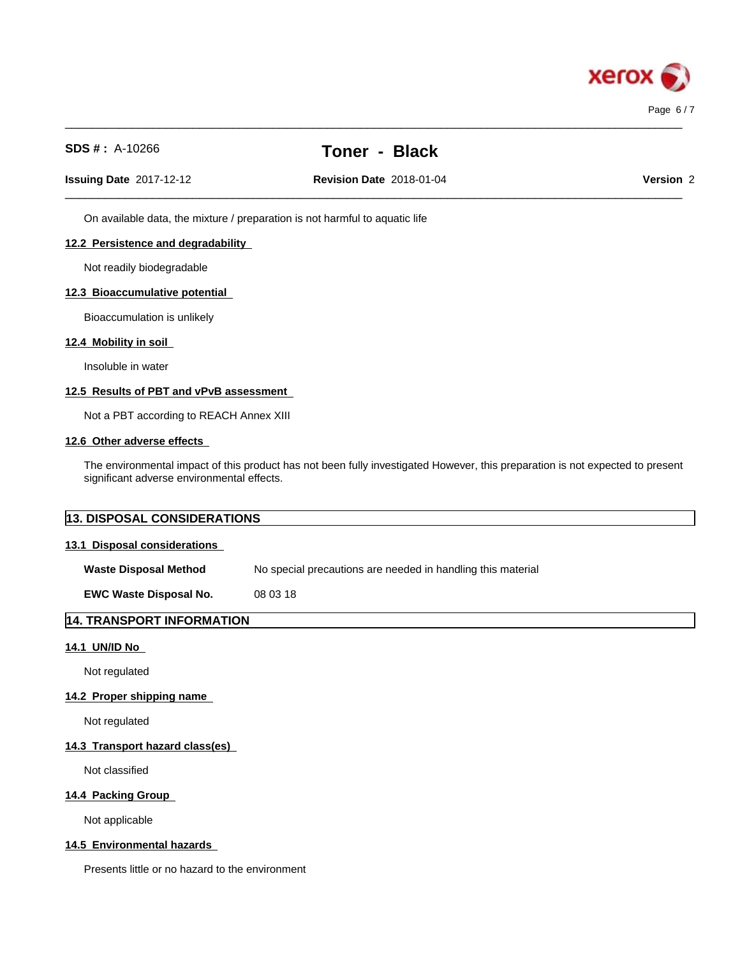

 $\_$  ,  $\_$  ,  $\_$  ,  $\_$  ,  $\_$  ,  $\_$  ,  $\_$  ,  $\_$  ,  $\_$  ,  $\_$  ,  $\_$  ,  $\_$  ,  $\_$  ,  $\_$  ,  $\_$  ,  $\_$  ,  $\_$  ,  $\_$  ,  $\_$  ,  $\_$  ,  $\_$  ,  $\_$  ,  $\_$  ,  $\_$  ,  $\_$  ,  $\_$  ,  $\_$  ,  $\_$  ,  $\_$  ,  $\_$  ,  $\_$  ,  $\_$  ,  $\_$  ,  $\_$  ,  $\_$  ,  $\_$  ,  $\_$  ,

**Issuing Date** 2017-12-12 **Revision Date** 2018-01-04 **Version** 2

 $\_$  ,  $\_$  ,  $\_$  ,  $\_$  ,  $\_$  ,  $\_$  ,  $\_$  ,  $\_$  ,  $\_$  ,  $\_$  ,  $\_$  ,  $\_$  ,  $\_$  ,  $\_$  ,  $\_$  ,  $\_$  ,  $\_$  ,  $\_$  ,  $\_$  ,  $\_$  ,  $\_$  ,  $\_$  ,  $\_$  ,  $\_$  ,  $\_$  ,  $\_$  ,  $\_$  ,  $\_$  ,  $\_$  ,  $\_$  ,  $\_$  ,  $\_$  ,  $\_$  ,  $\_$  ,  $\_$  ,  $\_$  ,  $\_$  ,

On available data, the mixture / preparation is not harmful to aquatic life

## **12.2 Persistence and degradability**

Not readily biodegradable

#### **12.3 Bioaccumulative potential**

Bioaccumulation is unlikely

## **12.4 Mobility in soil**

Insoluble in water

#### **12.5 Results of PBT and vPvB assessment**

Not a PBT according to REACH Annex XIII

## **12.6 Other adverse effects**

The environmental impact of this product has not been fully investigated However, this preparation is not expected to present significant adverse environmental effects.

| <b>13. DISPOSAL CONSIDERATIONS</b> |                                                             |  |
|------------------------------------|-------------------------------------------------------------|--|
| 13.1 Disposal considerations       |                                                             |  |
| <b>Waste Disposal Method</b>       | No special precautions are needed in handling this material |  |
| <b>EWC Waste Disposal No.</b>      | 08 03 18                                                    |  |
| 14. TRANSPORT INFORMATION          |                                                             |  |

#### **14.1 UN/ID No**

Not regulated

## **14.2 Proper shipping name**

Not regulated

## **14.3 Transport hazard class(es)**

Not classified

## **14.4 Packing Group**

Not applicable

## **14.5 Environmental hazards**

Presents little or no hazard to the environment